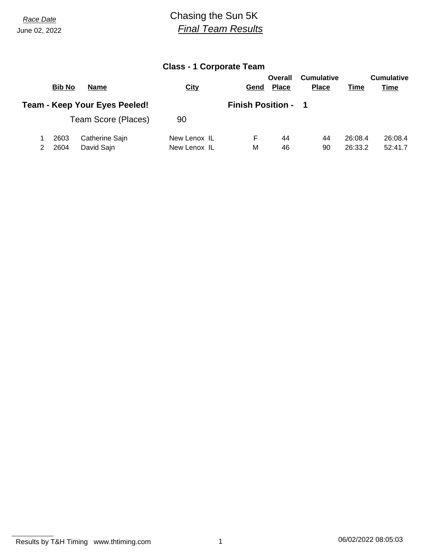June 02, 2022

## *Race Date* Chasing the Sun 5K *Final Team Results*

## **Class - 1 Corporate Team**

|                                      | <b>Bib No</b> | <b>Name</b>         | <b>City</b>                | Gend | Overall<br><b>Place</b> | <b>Cumulative</b><br><b>Place</b> | Time    | <b>Cumulative</b><br><b>Time</b> |  |
|--------------------------------------|---------------|---------------------|----------------------------|------|-------------------------|-----------------------------------|---------|----------------------------------|--|
| <b>Team - Keep Your Eyes Peeled!</b> |               |                     | <b>Finish Position - 1</b> |      |                         |                                   |         |                                  |  |
|                                      |               | Team Score (Places) | 90                         |      |                         |                                   |         |                                  |  |
|                                      | 2603          | Catherine Sajn      | New Lenox IL               | н.   | 44                      | 44                                | 26:08.4 | 26:08.4                          |  |
|                                      | 2604          | David Sajn          | New Lenox IL               | М    | 46                      | 90                                | 26:33.2 | 52:41.7                          |  |